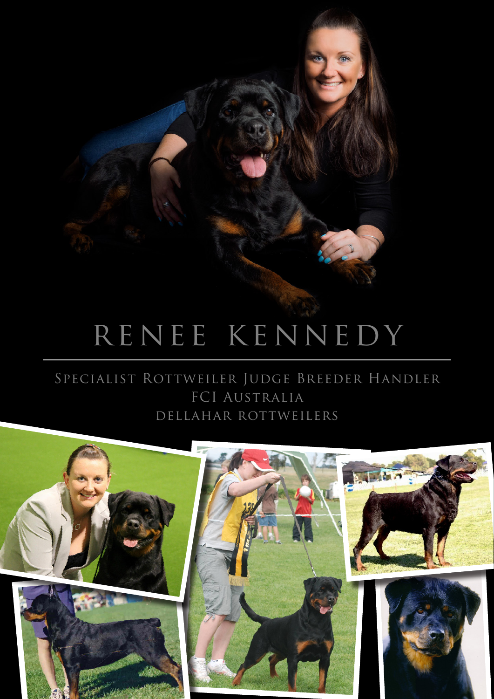## RENEE KENNEDY

 $\mathbb{Z}^+$ 

## SPECIALIST ROTTWEILER JUDGE BREEDER HANDLER FCI AUSTRALIA DELLAHAR ROTTWEILERS